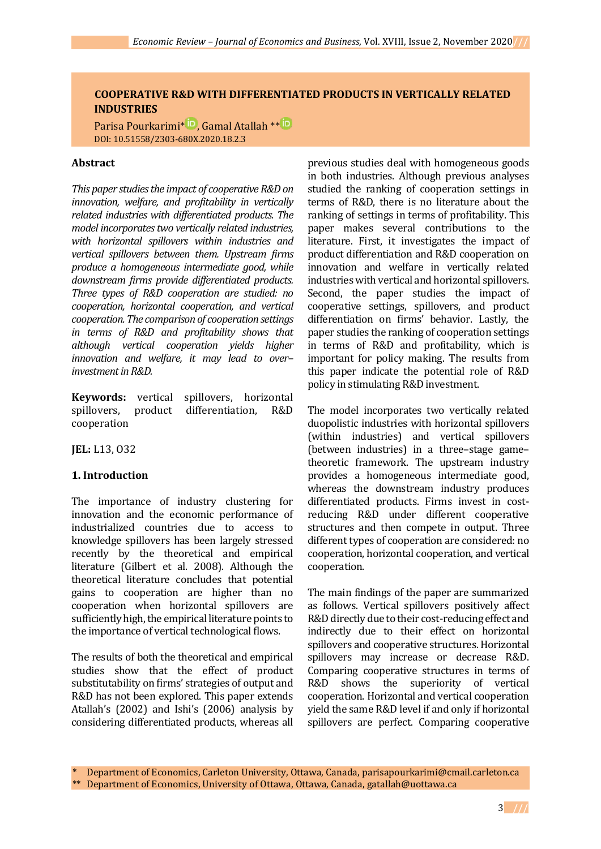# **COOPERATIVE R&D WITH DIFFERENTIATED PRODUCTS IN VERTICALLY RELATED INDUSTRIES**

Parisa Pourkarimi<sup>[\\*](https://orcid.org/0000-0002-2287-7597) iD</sup>, Gamal Atallah \*\* <sup>iD</sup> DOI: 10.51558/2303-680X.2020.18.2.3

### **Abstract**

*This paper studies the impact of cooperative R&Don innovation, welfare, and profitability in vertically related industries with differentiated products. The model incorporates two vertically related industries, with horizontal spillovers within industries and vertical spillovers between them. Upstream firms produce a homogeneous intermediate good, while downstream firms provide differentiated products. Three types of R&D cooperation are studied: no cooperation, horizontal cooperation, and vertical cooperation. The comparison of cooperation settings in terms of R&D and profitability shows that although vertical cooperation yields higher innovation and welfare, it may lead to over– investment in R&D.*

**Keywords:** vertical spillovers, horizontal spillovers, product differentiation, R&D cooperation

**JEL:** L13, O32

## **1. Introduction**

The importance of industry clustering for innovation and the economic performance of industrialized countries due to access to knowledge spillovers has been largely stressed recently by the theoretical and empirical literature (Gilbert et al. 2008). Although the theoretical literature concludes that potential gains to cooperation are higher than no cooperation when horizontal spillovers are sufficiently high, the empirical literature points to the importance of vertical technological flows.

The results of both the theoretical and empirical studies show that the effect of product substitutability on firms' strategies of output and R&D has not been explored. This paper extends Atallah's (2002) and Ishi's (2006) analysis by considering differentiated products, whereas all

previous studies deal with homogeneous goods in both industries. Although previous analyses studied the ranking of cooperation settings in terms of R&D, there is no literature about the ranking of settings in terms of profitability. This paper makes several contributions to the literature. First, it investigates the impact of product differentiation and R&D cooperation on innovation and welfare in vertically related industries with vertical and horizontal spillovers. Second, the paper studies the impact of cooperative settings, spillovers, and product differentiation on firms' behavior. Lastly, the paper studies the ranking of cooperation settings in terms of R&D and profitability, which is important for policy making. The results from this paper indicate the potential role of R&D policy in stimulating R&D investment.

The model incorporates two vertically related duopolistic industries with horizontal spillovers (within industries) and vertical spillovers (between industries) in a three–stage game– theoretic framework. The upstream industry provides a homogeneous intermediate good, whereas the downstream industry produces differentiated products. Firms invest in costreducing R&D under different cooperative structures and then compete in output. Three different types of cooperation are considered: no cooperation, horizontal cooperation, and vertical cooperation.

The main findings of the paper are summarized as follows. Vertical spillovers positively affect R&D directly due to their cost-reducing effect and indirectly due to their effect on horizontal spillovers and cooperative structures. Horizontal spillovers may increase or decrease R&D. Comparing cooperative structures in terms of R&D shows the superiority of vertical cooperation. Horizontal and vertical cooperation yield the same R&D level if and only if horizontal spillovers are perfect. Comparing cooperative

Department of Economics, Carleton University, Ottawa, Canada, parisapourkarimi@cmail.carleton.ca \*\* Department of Economics, University of Ottawa, Ottawa, Canada, gatallah@uottawa.ca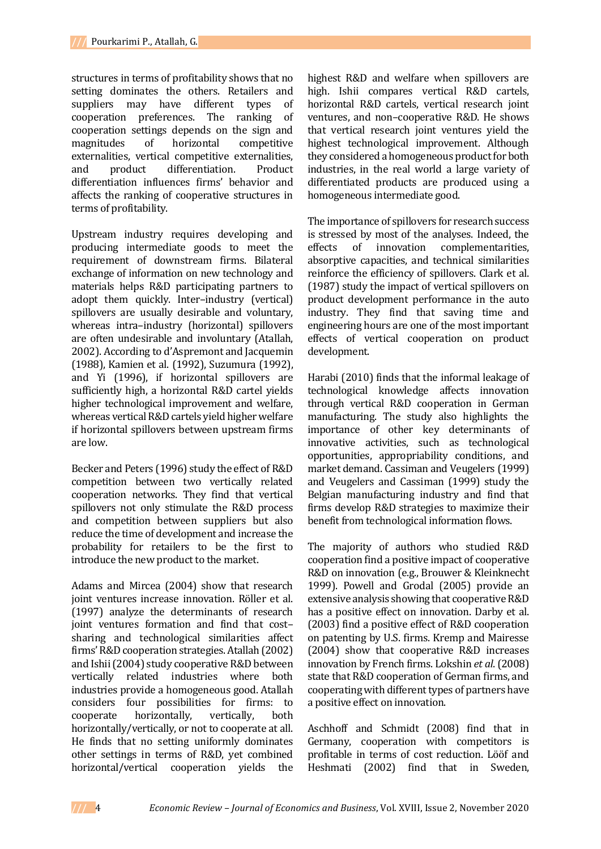structures in terms of profitability shows that no setting dominates the others. Retailers and suppliers may have different types of cooperation preferences. The ranking of cooperation settings depends on the sign and magnitudes of horizontal competitive externalities, vertical competitive externalities, and product differentiation. Product differentiation influences firms' behavior and affects the ranking of cooperative structures in terms of profitability.

Upstream industry requires developing and producing intermediate goods to meet the requirement of downstream firms. Bilateral exchange of information on new technology and materials helps R&D participating partners to adopt them quickly. Inter–industry (vertical) spillovers are usually desirable and voluntary, whereas intra–industry (horizontal) spillovers are often undesirable and involuntary (Atallah, 2002). According to d'Aspremont and Jacquemin (1988), Kamien et al. (1992), Suzumura (1992), and Yi (1996), if horizontal spillovers are sufficiently high, a horizontal R&D cartel yields higher technological improvement and welfare, whereas vertical R&D cartels yield higher welfare if horizontal spillovers between upstream firms are low.

Becker and Peters (1996) study the effect of R&D competition between two vertically related cooperation networks. They find that vertical spillovers not only stimulate the R&D process and competition between suppliers but also reduce the time of development and increase the probability for retailers to be the first to introduce the new product to the market.

Adams and Mircea (2004) show that research joint ventures increase innovation. Röller et al. (1997) analyze the determinants of research joint ventures formation and find that cost– sharing and technological similarities affect firms' R&D cooperation strategies. Atallah (2002) and Ishii (2004) study cooperative R&D between vertically related industries where both industries provide a homogeneous good. Atallah considers four possibilities for firms: to cooperate horizontally, vertically, both horizontally/vertically, or not to cooperate at all. He finds that no setting uniformly dominates other settings in terms of R&D, yet combined horizontal/vertical cooperation yields the

highest R&D and welfare when spillovers are high. Ishii compares vertical R&D cartels, horizontal R&D cartels, vertical research joint ventures, and non–cooperative R&D. He shows that vertical research joint ventures yield the highest technological improvement. Although they considered a homogeneous product for both industries, in the real world a large variety of differentiated products are produced using a homogeneous intermediate good.

The importance of spillovers for research success is stressed by most of the analyses. Indeed, the effects of innovation complementarities, absorptive capacities, and technical similarities reinforce the efficiency of spillovers. Clark et al. (1987) study the impact of vertical spillovers on product development performance in the auto industry. They find that saving time and engineering hours are one of the most important effects of vertical cooperation on product development.

Harabi (2010) finds that the informal leakage of technological knowledge affects innovation through vertical R&D cooperation in German manufacturing. The study also highlights the importance of other key determinants of innovative activities, such as technological opportunities, appropriability conditions, and market demand. Cassiman and Veugelers (1999) and Veugelers and Cassiman (1999) study the Belgian manufacturing industry and find that firms develop R&D strategies to maximize their benefit from technological information flows.

The majority of authors who studied R&D cooperation find a positive impact of cooperative R&D on innovation (e.g., Brouwer & Kleinknecht 1999). Powell and Grodal (2005) provide an extensive analysis showing that cooperative R&D has a positive effect on innovation. Darby et al. (2003) find a positive effect of R&D cooperation on patenting by U.S. firms. Kremp and Mairesse (2004) show that cooperative R&D increases innovation by French firms. Lokshin *et al*. (2008) state that R&D cooperation of German firms, and cooperating with different types of partners have a positive effect on innovation.

Aschhoff and Schmidt (2008) find that in Germany, cooperation with competitors is profitable in terms of cost reduction. Lööf and Heshmati (2002) find that in Sweden,

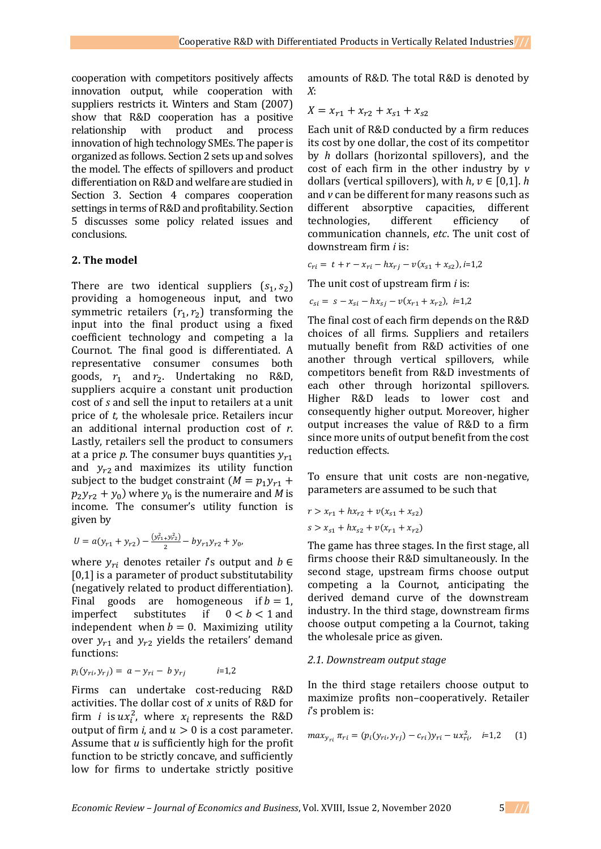cooperation with competitors positively affects innovation output, while cooperation with suppliers restricts it. Winters and Stam (2007) show that R&D cooperation has a positive relationship with product and process innovation of high technology SMEs. The paper is organized as follows. Section 2 sets up and solves the model. The effects of spillovers and product differentiation on R&D and welfare are studied in Section 3. Section 4 compares cooperation settings in terms of R&D and profitability. Section 5 discusses some policy related issues and conclusions.

#### **2. The model**

There are two identical suppliers  $(s_1, s_2)$ providing a homogeneous input, and two symmetric retailers  $(r_1, r_2)$  transforming the input into the final product using a fixed coefficient technology and competing a la Cournot. The final good is differentiated. A representative consumer consumes both goods,  $r_1$  and  $r_2$ . Undertaking no R&D, suppliers acquire a constant unit production cost of *s* and sell the input to retailers at a unit price of *t,* the wholesale price. Retailers incur an additional internal production cost of *r*. Lastly, retailers sell the product to consumers at a price p. The consumer buys quantities  $y_{r1}$ and  $y_{r2}$  and maximizes its utility function subject to the budget constraint  $(M = p_1 y_{r1} +$  $p_2 y_{r2} + y_0$ ) where  $y_0$  is the numeraire and *M* is income. The consumer's utility function is given by

$$
U = a(y_{r1} + y_{r2}) - \frac{(y_{r1}^2 + y_{r2}^2)}{2} - by_{r1}y_{r2} + y_0,
$$

where  $y_{ri}$  denotes retailer *i*'s output and  $b \in$ [0,1] is a parameter of product substitutability (negatively related to product differentiation). Final goods are homogeneous if  $b = 1$ , imperfect substitutes if  $0 < h < 1$  and independent when  $b = 0$ . Maximizing utility over  $y_{r1}$  and  $y_{r2}$  yields the retailers' demand functions:

$$
p_i(y_{ri}, y_{rj}) = a - y_{ri} - b y_{rj} \qquad i=1,2
$$

Firms can undertake cost-reducing R&D activities. The dollar cost of *x* units of R&D for firm *i* is  $ux_i^2$ , where  $x_i$  represents the R&D output of firm  $i$ , and  $u > 0$  is a cost parameter. Assume that *u* is sufficiently high for the profit function to be strictly concave, and sufficiently low for firms to undertake strictly positive amounts of R&D. The total R&D is denoted by *X*:

$$
X = x_{r1} + x_{r2} + x_{s1} + x_{s2}
$$

Each unit of R&D conducted by a firm reduces its cost by one dollar, the cost of its competitor by *h* dollars (horizontal spillovers), and the cost of each firm in the other industry by *v* dollars (vertical spillovers), with  $h, v \in [0,1]$ . *h* and *v* can be different for many reasons such as different absorptive capacities, different technologies, different efficiency of communication channels, *etc*. The unit cost of downstream firm *i* is:

$$
c_{ri} = t + r - x_{ri} - hx_{rj} - v(x_{s1} + x_{s2}), i=1,2
$$

The unit cost of upstream firm *i* is:

 $c_{si} = s - x_{si} - hx_{sj} - v(x_{r1} + x_{r2}), i=1,2$ 

The final cost of each firm depends on the R&D choices of all firms. Suppliers and retailers mutually benefit from R&D activities of one another through vertical spillovers, while competitors benefit from R&D investments of each other through horizontal spillovers. Higher R&D leads to lower cost and consequently higher output. Moreover, higher output increases the value of R&D to a firm since more units of output benefit from the cost reduction effects.

To ensure that unit costs are non-negative, parameters are assumed to be such that

$$
r > x_{r1} + hx_{r2} + v(x_{s1} + x_{s2})
$$
  

$$
s > x_{s1} + hx_{s2} + v(x_{r1} + x_{r2})
$$

The game has three stages. In the first stage, all firms choose their R&D simultaneously. In the second stage, upstream firms choose output competing a la Cournot, anticipating the derived demand curve of the downstream industry. In the third stage, downstream firms choose output competing a la Cournot, taking the wholesale price as given.

### *2.1. Downstream output stage*

In the third stage retailers choose output to maximize profits non–cooperatively. Retailer *i*'s problem is:

$$
max_{y_{ri}} \pi_{ri} = (p_i(y_{ri}, y_{rj}) - c_{ri})y_{ri} - ux_{ri}^2, \quad i=1,2 \quad (1)
$$

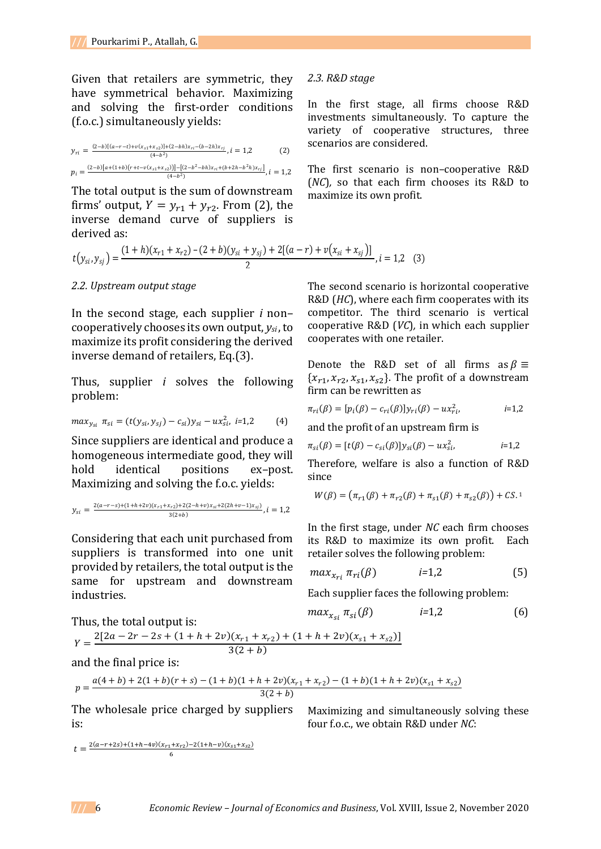Given that retailers are symmetric, they have symmetrical behavior. Maximizing and solving the first-order conditions (f.o.c.) simultaneously yields:

$$
y_{ri} = \frac{(2-b)[(a-r-t)+v(x_{s1}+x_{s2})]+(2-bh)x_{ri}-(b-2h)x_{ri}}{(4-b^2)}, i = 1,2
$$
 (2)

$$
p_i = \frac{(2-b)[a + (1+b)(r+t-v(x_{s1}+x_{s2}))] - [(2-b^2-bh)x_{ri} + (b+2h-b^2h)x_{rj}]}{(4-b^2)}, i = 1,2
$$

The total output is the sum of downstream firms' output,  $Y = y_{r1} + y_{r2}$ . From (2), the inverse demand curve of suppliers is derived as:

$$
t(y_{si}, y_{sj}) = \frac{(1+h)(x_{r1}+x_{r2})-(2+h)(y_{si}+y_{sj})+2[(a-r)+v(x_{si}+x_{sj})]}{2}, i=1,2
$$
 (3)

# *2.2. Upstream output stage*

In the second stage, each supplier *i* non– cooperatively chooses its own output, *ysi* , to maximize its profit considering the derived inverse demand of retailers, Eq.(3). t(y<sub>si</sub>, y<sub>sj</sub>) =  $\frac{1}{2}$ <br>
2.2. Upstream output stage<br>
In the second stage, each supplier *i* non-<br>
cooperatively chooses its own output, y<sub>si</sub>, to<br>
maximize its profit considering the derived<br>
inverse demand of retaile

Thus, supplier *i* solves the following problem:

$$
max_{y_{si}} \pi_{si} = (t(y_{si}, y_{sj}) - c_{si})y_{si} - ux_{si}^{2}, \ i=1,2
$$
 (4)

Since suppliers are identical and produce a homogeneous intermediate good, they will hold identical positions ex–post. Maximizing and solving the f.o.c. yields:

$$
y_{si}=\tfrac{2(a-r-s)+(1+h+2v)(x_{r1}+x_{r2})+2(2-h+v)x_{si}+2(2h+v-1)x_{sj})}{3(2+b)}, i=1,2
$$

Considering that each unit purchased from suppliers is transformed into one unit provided by retailers, the total output is the same for upstream and downstream industries.

### *2.3. R&D stage*

In the first stage, all firms choose R&D investments simultaneously. To capture the variety of cooperative structures, three scenarios are considered.

The first scenario is non–cooperative R&D (*NC*)*,* so that each firm chooses its R&D to maximize its own profit.

The second scenario is horizontal cooperative 
$$
R&D(HC)
$$
, where each firm cooperates with its competitor. The third scenario is vertical cooperative  $R&D(VC)$ , in which each supplier cooperates with one retailer.

Denote the R&D set of all firms as  $\beta \equiv$  ${x_{r1}, x_{r2}, x_{s1}, x_{s2}}$ . The profit of a downstream firm can be rewritten as

$$
\pi_{ri}(\beta) = [p_i(\beta) - c_{ri}(\beta)]y_{ri}(\beta) - ux_{ri}^2, \qquad i=1,2
$$

and the profit of an upstream firm is

$$
\pi_{si}(\beta) = [t(\beta) - c_{si}(\beta)]y_{si}(\beta) - ux_{si}^2, \qquad i=1,2
$$

Therefore, welfare is also a function of R&D since

$$
W(\beta) = (\pi_{r1}(\beta) + \pi_{r2}(\beta) + \pi_{s1}(\beta) + \pi_{s2}(\beta)) + CS.^1
$$

In the first stage, under *NC* each firm chooses its R&D to maximize its own profit. Each retailer solves the following problem:

$$
max_{x_{ri}} \pi_{ri}(\beta) \qquad \qquad i=1,2 \qquad (5)
$$

Each supplier faces the following problem:

$$
max_{x_{si}} \pi_{si}(\beta) \qquad \qquad i=1,2 \qquad (6)
$$

Thus, the total output is:

$$
Y = \frac{2[2a - 2r - 2s + (1 + h + 2v)(x_{r1} + x_{r2}) + (1 + h + 2v)(x_{s1} + x_{s2})]}{2(2 + h)}
$$

 $3(2 + b)$ 

and the final price is:

$$
p = \frac{a(4+b) + 2(1+b)(r+s) - (1+b)(1+h+2v)(x_{r1}+x_{r2}) - (1+b)(1+h+2v)(x_{s1}+x_{s2})}{3(2+b)}
$$

The wholesale price charged by suppliers is:

$$
t = \frac{2(a-r+2s)+(1+h-4v)(x_{r1}+x_{r2})-2(1+h-v)(x_{s1}+x_{s2})}{6}
$$

Maximizing and simultaneously solving these four f.o.c., we obtain R&D under *NC*:

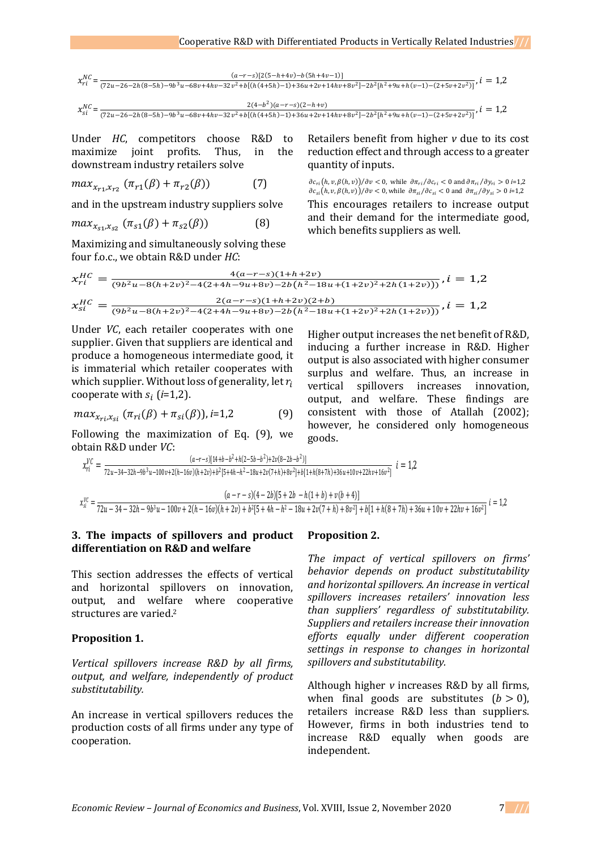$$
\begin{aligned}\n& \chi_{ri}^{NC} = \frac{(a-r-s)[2(5-h+4v)-b(5h+4v-1)]}{(72u-26-2h(8-5h)-9b^3u-68v+4hv-32v^2+b[(h(4+5h)-1)+36u+2v+14hv+8v^2]-2b^2[h^2+9u+h(v-1)-(2+5v+2v^2)]}, i=1,2, \\\\
& \chi_{si}^{NC} = \frac{2(4-b^2)(a-r-s)(2-h+v)}{(72u-26-2h(8-5h)-9b^3u-68v+4hv-32v^2+b[(h(4+5h)-1)+36u+2v+14hv+8v^2]-2b^2[h^2+9u+h(v-1)-(2+5v+2v^2)]}, i=1,2, \end{aligned}
$$

 $(72u-26-2h(8-5h)-9b^3u-68v+4hv-32v^2+b[(h(4+5h)-1)+36u+2v+14hv+8v^2]-2b^2[h^2+9u+h(v-1)-(2+5v+2v^2)]$ 

Under *HC*, competitors choose R&D to maximize joint profits. Thus, in the downstream industry retailers solve

$$
max_{x_{r1}, x_{r2}} (\pi_{r1}(\beta) + \pi_{r2}(\beta)) \tag{7}
$$

and in the upstream industry suppliers solve

$$
max_{x_{S1}, x_{S2}} (\pi_{S1}(\beta) + \pi_{S2}(\beta))
$$
 (8)

Maximizing and simultaneously solving these four f.o.c., we obtain R&D under *HC*:

Retailers benefit from higher *v* due to its cost reduction effect and through access to a greater quantity of inputs.

This encourages retailers to increase output and their demand for the intermediate good, which benefits suppliers as well.  $\frac{\partial c_{ri}(h, v, \beta(h, v))}{\partial v} < 0$ , while  $\frac{\partial \pi_{ri}}{\partial c_{ri}} < 0$  and  $\frac{\partial \pi_{ri}}{\partial y_{ri}} > 0$  *i*=1,2  $\frac{\partial c_{si}(h, v, \beta(h, v))}{\partial v} < 0$ , while  $\frac{\partial \pi_{si}}{\partial c_{si}} < 0$  and  $\frac{\partial \pi_{si}}{\partial y_{si}} > 0$  *i*=1,2

Higher output increases the net benefit of R&D, inducing a further increase in R&D. Higher output is also associated with higher consumer surplus and welfare. Thus, an increase in vertical spillovers increases innovation, output, and welfare. These findings are consistent with those of Atallah (2002); however, he considered only homogeneous

$$
x_{ri}^{HC} = \frac{4(a-r-s)(1+h+2v)}{(9b^2u-8(h+2v)^2-4(2+4h-9u+8v)-2b(h^2-18u+(1+2v)^2+2h(1+2v)))}, i = 1,2
$$
  

$$
x_{si}^{HC} = \frac{2(a-r-s)(1+h+2v)(2+b)}{(9b^2u-8(h+2v)^2-4(2+4h-9u+8v)-2b(h^2-18u+(1+2v)^2+2h(1+2v)))}, i = 1,2
$$

Under *VC*, each retailer cooperates with one supplier. Given that suppliers are identical and produce a homogeneous intermediate good, it is immaterial which retailer cooperates with which supplier. Without loss of generality, let  $r_i$ cooperate with  $s_i$  (*i*=1,2).

$$
max_{x_{ri},x_{si}} (\pi_{ri}(\beta) + \pi_{si}(\beta)), i=1,2
$$
 (9)

Following the maximization of Eq. (9), we obtain R&D under *VC*:

$$
x_{ri}^{VC} = \frac{(a-r-s)[14+b-b^2+h(2-5b-b^2)+2v(8-2b-b^2)]}{72u-34-32h-9b^3u-100v+2(h-16v)(h+2v)+b^2[5+4h-h^2-18u+2v(7+h)+8v^2]+b[1+h(8+7h)+36u+10v+22h v+16v^2]} \quad i=1,2
$$

 = ( − − )(4 − 2)[5 + 2 − ℎ(1 + ) + ( + 4)]  $\frac{1}{72u-34-32h-9b^3u-100v+2(h-16v)(h+2v)+b^2[5+4h-h^2-18u+2v(7+h)+8v^2]+b[1+h(8+7h)+36u+10v+22hv+16v^2]}{1=1,2h^2+2h^3u+2h^4+2h^3u+2h^2u+2h^3u+2h^2u+2h^3u+2h^2u+2h^3u+2h^4u+2h^2u+2h^3u+2h^2u+2h^3u+2h^2u+2h^3u+2h^2u+2h^3u+2h^2u+2h^$ 

### **3. The impacts of spillovers and product differentiation on R&D and welfare**

This section addresses the effects of vertical and horizontal spillovers on innovation, output, and welfare where cooperative structures are varied.<sup>2</sup>

### **Proposition 1.**

*Vertical spillovers increase R&D by all firms, output, and welfare, independently of product substitutability.*

An increase in vertical spillovers reduces the production costs of all firms under any type of cooperation.

## **Proposition 2.**

goods.

*The impact of vertical spillovers on firms' behavior depends on product substitutability and horizontal spillovers. An increase in vertical spillovers increases retailers' innovation less than suppliers' regardless of substitutability. Suppliers and retailers increase their innovation efforts equally under different cooperation settings in response to changes in horizontal spillovers and substitutability.*

Although higher *v* increases R&D by all firms, when final goods are substitutes  $(b > 0)$ , retailers increase R&D less than suppliers. However, firms in both industries tend to increase R&D equally when goods are independent.

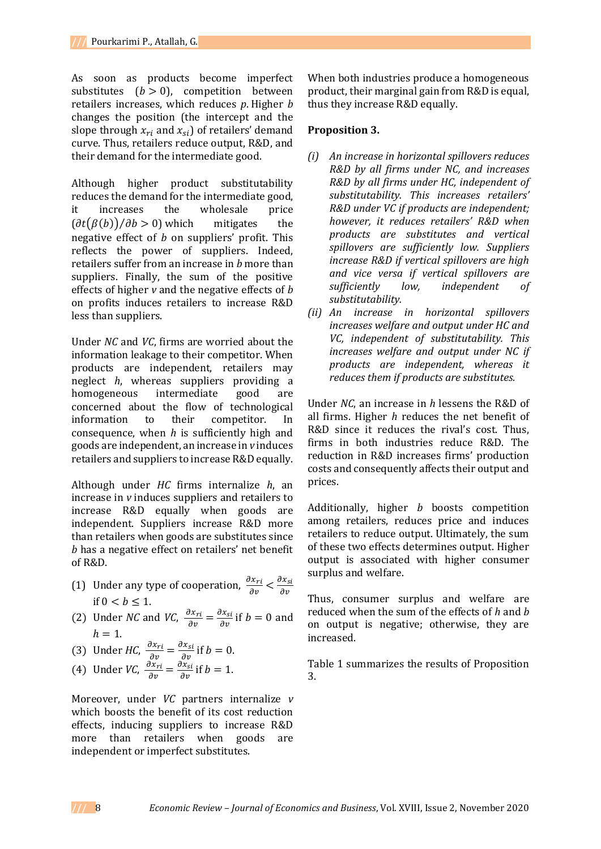As soon as products become imperfect substitutes  $(b > 0)$ , competition between retailers increases, which reduces *p*. Higher *b* changes the position (the intercept and the slope through  $x_{ri}$  and  $x_{si}$ ) of retailers' demand curve. Thus, retailers reduce output, R&D, and their demand for the intermediate good.

Although higher product substitutability reduces the demand for the intermediate good, it increases the wholesale price  $(\partial t(\beta(b))/\partial b > 0)$  which mitigates the negative effect of *b* on suppliers' profit. This reflects the power of suppliers. Indeed, retailers suffer from an increase in *b* more than suppliers. Finally, the sum of the positive effects of higher *v* and the negative effects of *b* on profits induces retailers to increase R&D less than suppliers.

Under *NC* and *VC*, firms are worried about the information leakage to their competitor. When products are independent, retailers may neglect *h*, whereas suppliers providing a homogeneous intermediate good are concerned about the flow of technological information to their competitor. In consequence, when *h* is sufficiently high and goods are independent, an increase in *v* induces retailers and suppliers to increase R&D equally.

Although under *HC* firms internalize *h*, an increase in *v* induces suppliers and retailers to increase R&D equally when goods are independent. Suppliers increase R&D more than retailers when goods are substitutes since *b* has a negative effect on retailers' net benefit of R&D.

- (1) Under any type of cooperation,  $\frac{\partial x_{ri}}{\partial v} < \frac{\partial x_{si}}{\partial v}$ if  $0 < b \leq 1$ .
- (2) Under *NC* and *VC*,  $\frac{\partial x_{ri}}{\partial v} = \frac{\partial x_{si}}{\partial v}$  if  $b = 0$  and  $h = 1$ .

(3) Under *HC*, 
$$
\frac{\partial x_{ri}}{\partial v} = \frac{\partial x_{si}}{\partial v}
$$
 if  $b = 0$ .

$$
\begin{array}{cc}\n\bullet & \theta v & \theta v \\
\hline\n\end{array}
$$
\n
$$
\begin{array}{cc}\n\bullet & \theta v & \theta v \\
\hline\n\end{array}
$$
\n
$$
\begin{array}{cc}\n\bullet & \theta v & \theta v \\
\hline\n\end{array}
$$
\n
$$
\begin{array}{cc}\n\bullet & \theta v & \theta v \\
\hline\n\end{array}
$$

(4) Under *VC*, 
$$
\frac{\partial x_{ri}}{\partial v} = \frac{\partial x_{si}}{\partial v}
$$
 if  $b = 1$ .

Moreover, under *VC* partners internalize *v* which boosts the benefit of its cost reduction effects, inducing suppliers to increase R&D more than retailers when goods are independent or imperfect substitutes.

When both industries produce a homogeneous product, their marginal gain from R&D is equal, thus they increase R&D equally.

# **Proposition 3.**

- *(i) An increase in horizontal spillovers reduces R&D by all firms under NC, and increases R&D by all firms under HC, independent of substitutability. This increases retailers' R&D under VC if products are independent; however, it reduces retailers' R&D when products are substitutes and vertical spillovers are sufficiently low. Suppliers increase R&D if vertical spillovers are high and vice versa if vertical spillovers are sufficiently low, independent of substitutability.*
- *(ii) An increase in horizontal spillovers increases welfare and output under HC and VC, independent of substitutability. This increases welfare and output under NC if products are independent, whereas it reduces them if products are substitutes.*

Under *NC*, an increase in *h* lessens the R&D of all firms. Higher *h* reduces the net benefit of R&D since it reduces the rival's cost. Thus, firms in both industries reduce R&D. The reduction in R&D increases firms' production costs and consequently affects their output and prices.

Additionally, higher *b* boosts competition among retailers, reduces price and induces retailers to reduce output. Ultimately, the sum of these two effects determines output. Higher output is associated with higher consumer surplus and welfare.

Thus, consumer surplus and welfare are reduced when the sum of the effects of *h* and *b* on output is negative; otherwise, they are increased.

Table 1 summarizes the results of Proposition 3.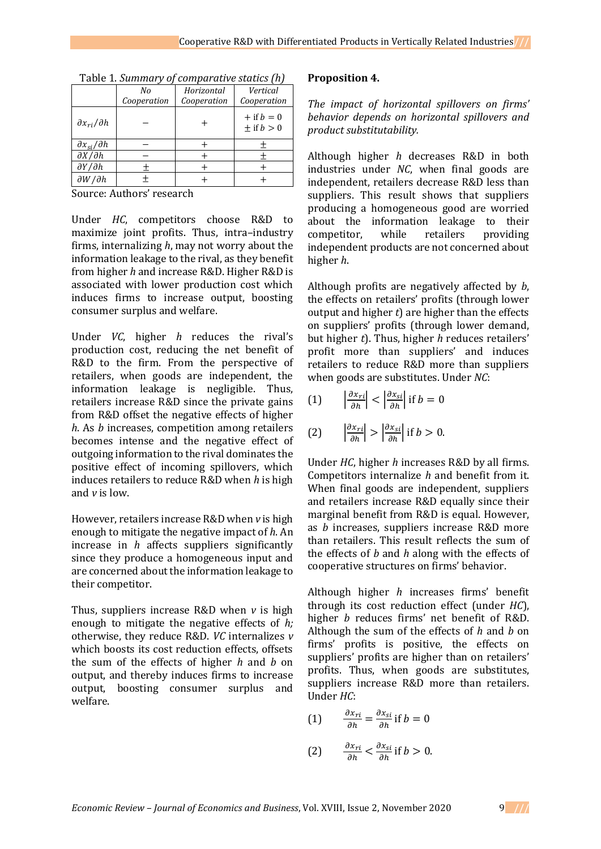|                              | No          | Horizontal  | Vertical                           |
|------------------------------|-------------|-------------|------------------------------------|
|                              | Cooperation | Cooperation | Cooperation                        |
| $\partial x_{ri}/\partial h$ |             |             | $+$ if $b = 0$<br>$\pm$ if $b > 0$ |
| $\partial x_{si}/\partial h$ |             |             |                                    |
| $\partial X/\partial h$      |             |             |                                    |
| $\partial Y/\partial h$      |             |             |                                    |
| $\partial W/\partial h$      |             |             |                                    |

Table 1. *Summary of comparative statics (h)*

Source: Authors' research

Under *HC*, competitors choose R&D to maximize joint profits. Thus, intra–industry firms, internalizing *h*, may not worry about the information leakage to the rival, as they benefit from higher *h* and increase R&D. Higher R&D is associated with lower production cost which induces firms to increase output, boosting consumer surplus and welfare.

Under *VC*, higher *h* reduces the rival's production cost, reducing the net benefit of R&D to the firm. From the perspective of retailers, when goods are independent, the information leakage is negligible. Thus, retailers increase R&D since the private gains from R&D offset the negative effects of higher *h*. As *b* increases, competition among retailers becomes intense and the negative effect of outgoing information to the rival dominates the positive effect of incoming spillovers, which induces retailers to reduce R&D when *h* is high and *v* is low.

However, retailers increase R&D when *v* is high enough to mitigate the negative impact of *h*. An increase in *h* affects suppliers significantly since they produce a homogeneous input and are concerned about the information leakage to their competitor.

Thus, suppliers increase R&D when *v* is high enough to mitigate the negative effects of *h;*  otherwise, they reduce R&D. *VC* internalizes *v* which boosts its cost reduction effects, offsets the sum of the effects of higher *h* and *b* on output, and thereby induces firms to increase output, boosting consumer surplus and welfare.

#### **Proposition 4.**

*The impact of horizontal spillovers on firms' behavior depends on horizontal spillovers and product substitutability.*

Although higher *h* decreases R&D in both industries under *NC*, when final goods are independent, retailers decrease R&D less than suppliers. This result shows that suppliers producing a homogeneous good are worried about the information leakage to their competitor, while retailers providing independent products are not concerned about higher *h*.

Although profits are negatively affected by *b*, the effects on retailers' profits (through lower output and higher *t*) are higher than the effects on suppliers' profits (through lower demand, but higher *t*). Thus, higher *h* reduces retailers' profit more than suppliers' and induces retailers to reduce R&D more than suppliers when goods are substitutes. Under *NC*:

$$
(1) \qquad \left|\frac{\partial x_{ri}}{\partial h}\right| < \left|\frac{\partial x_{si}}{\partial h}\right| \text{ if } b = 0
$$

(2) 
$$
\left|\frac{\partial x_{ri}}{\partial h}\right| > \left|\frac{\partial x_{si}}{\partial h}\right| \text{ if } h > 0.
$$

Under *HC*, higher *h* increases R&D by all firms. Competitors internalize *h* and benefit from it. When final goods are independent, suppliers and retailers increase R&D equally since their marginal benefit from R&D is equal. However, as *b* increases, suppliers increase R&D more than retailers. This result reflects the sum of the effects of *b* and *h* along with the effects of cooperative structures on firms' behavior.

Although higher *h* increases firms' benefit through its cost reduction effect (under *HC*), higher *b* reduces firms' net benefit of R&D. Although the sum of the effects of *h* and *b* on firms' profits is positive, the effects on suppliers' profits are higher than on retailers' profits. Thus, when goods are substitutes, suppliers increase R&D more than retailers. Under *HC*:

(1) 
$$
\frac{\partial x_{ri}}{\partial h} = \frac{\partial x_{si}}{\partial h} \text{ if } b = 0
$$
  
(2) 
$$
\frac{\partial x_{ri}}{\partial h} < \frac{\partial x_{si}}{\partial h} \text{ if } b > 0.
$$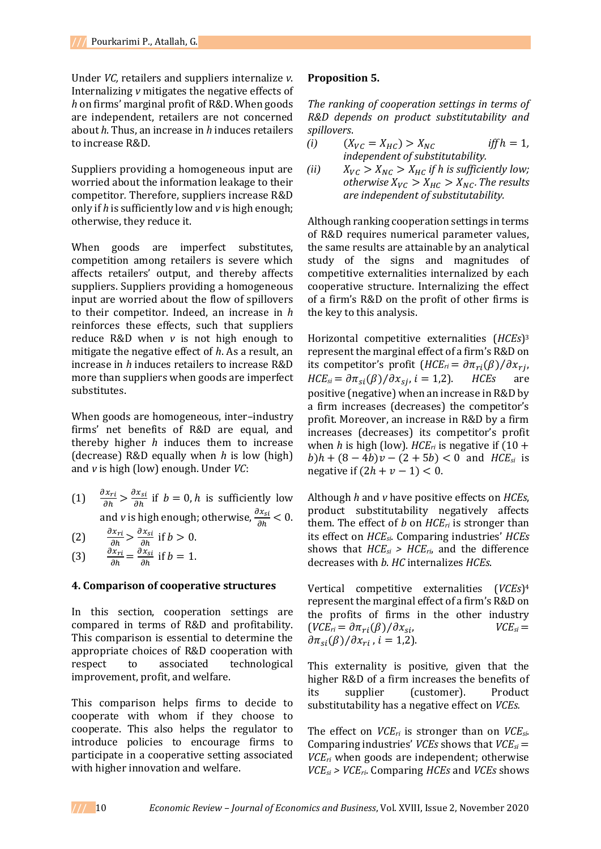Under *VC,* retailers and suppliers internalize *v*. Internalizing *v* mitigates the negative effects of *h* on firms' marginal profit of R&D. When goods are independent, retailers are not concerned about *h*. Thus, an increase in *h* induces retailers to increase R&D.

Suppliers providing a homogeneous input are worried about the information leakage to their competitor*.* Therefore, suppliers increase R&D only if *h* is sufficiently low and *v* is high enough; otherwise, they reduce it.

When goods are imperfect substitutes, competition among retailers is severe which affects retailers' output, and thereby affects suppliers. Suppliers providing a homogeneous input are worried about the flow of spillovers to their competitor. Indeed, an increase in *h* reinforces these effects, such that suppliers reduce R&D when *v* is not high enough to mitigate the negative effect of *h*. As a result, an increase in *h* induces retailers to increase R&D more than suppliers when goods are imperfect substitutes.

When goods are homogeneous, inter–industry firms' net benefits of R&D are equal, and thereby higher *h* induces them to increase (decrease) R&D equally when *h* is low (high) and *v* is high (low) enough. Under *VC*:

(1)  $\frac{\partial x_{ri}}{\partial h} > \frac{\partial x_{si}}{\partial h}$  $\frac{\partial X_{si}}{\partial h}$  if  $b = 0, h$  is sufficiently low and *v* is high enough; otherwise,  $\frac{\partial x_{si}}{\partial h} < 0$ .

| (2) | $\partial x_{ri}$ .<br>$>\frac{\partial x_{si}}{\partial x_{i}}$ if $b>0$ .<br>$\partial h$<br>дh. |
|-----|----------------------------------------------------------------------------------------------------|
| (2) | $\partial x_{si}$ : $\mathbf{r}_h$ -<br>$\partial x_{ri}$                                          |

(3)  $\frac{\partial x_{ri}}{\partial h} = \frac{\partial x_{si}}{\partial h}$  $\frac{\partial x_{si}}{\partial h}$  if  $b = 1$ .

### **4. Comparison of cooperative structures**

In this section, cooperation settings are compared in terms of R&D and profitability. This comparison is essential to determine the appropriate choices of R&D cooperation with respect to associated technological improvement, profit, and welfare.

This comparison helps firms to decide to cooperate with whom if they choose to cooperate. This also helps the regulator to introduce policies to encourage firms to participate in a cooperative setting associated with higher innovation and welfare.

### **Proposition 5.**

*The ranking of cooperation settings in terms of R&D depends on product substitutability and spillovers*.

- $(K_{VC} = X_{HC}) > K_{NC}$  *iff*  $h = 1$ *, independent of substitutability.*
- *(ii)*  $X_{VC} > X_{NC} > X_{HC}$  *if h is sufficiently low; otherwise*  $X_{VC} > X_{HC} > X_{NC}$ . The results *are independent of substitutability.*

Although ranking cooperation settings in terms of R&D requires numerical parameter values, the same results are attainable by an analytical study of the signs and magnitudes of competitive externalities internalized by each cooperative structure. Internalizing the effect of a firm's R&D on the profit of other firms is the key to this analysis.

Horizontal competitive externalities (*HCEs*) 3 represent the marginal effect of a firm's R&D on its competitor's profit  $(HCE_{ri} = \partial \pi_{ri}(\beta)/\partial x_{ri}$ ,  $HCE_{si} = \partial \pi_{si}(\beta) / \partial x_{si}$ , *i* = 1,2). *HCEs* are positive (negative) when an increase in R&D by a firm increases (decreases) the competitor's profit. Moreover, an increase in R&D by a firm increases (decreases) its competitor's profit when *h* is high (low). *HCE*<sup>*ri*</sup> is negative if  $(10 +$  $(b)h + (8 - 4b)v - (2 + 5b) < 0$  and *HCE*<sub>*si*</sub> is negative if  $(2h + v - 1) < 0$ .

Although *h* and *v* have positive effects on *HCEs*, product substitutability negatively affects them. The effect of *b* on *HCEri* is stronger than its effect on *HCEsi*. Comparing industries' *HCEs* shows that *HCEsi > HCEri*, and the difference decreases with *b*. *HC* internalizes *HCEs*.

Vertical competitive externalities (*VCEs*) 4 represent the marginal effect of a firm's R&D on the profits of firms in the other industry  $(VCE_{ri} = \partial \pi_{ri}(\beta)/\partial x_{si},$  *VCE*<sub>*si*</sub> =  $\partial \pi_{si}(\beta)/\partial x_{ri}$ ,  $i = 1,2$ ).

This externality is positive, given that the higher R&D of a firm increases the benefits of its supplier (customer). Product substitutability has a negative effect on *VCEs.*

The effect on *VCEri* is stronger than on *VCEsi*. Comparing industries' *VCEs* shows that  $VCE_s =$ *VCEri* when goods are independent; otherwise *VCEsi > VCEri*. Comparing *HCEs* and *VCEs* shows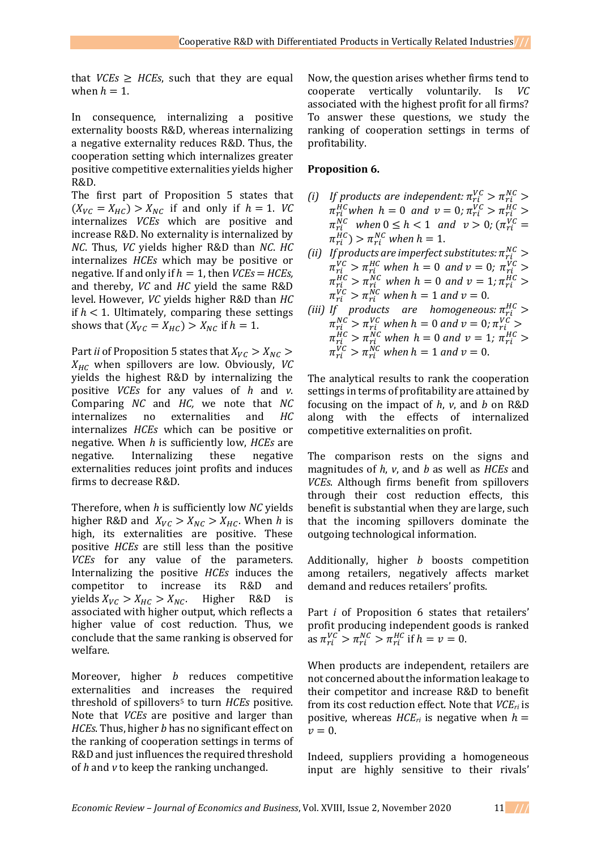that *VCEs*  $\geq$  *HCEs*, such that they are equal when  $h = 1$ .

In consequence, internalizing a positive externality boosts R&D, whereas internalizing a negative externality reduces R&D. Thus, the cooperation setting which internalizes greater positive competitive externalities yields higher R&D.

The first part of Proposition 5 states that  $(X_{VC} = X_{HC}) > X_{NC}$  if and only if  $h = 1$ . *VC* internalizes *VCEs* which are positive and increase R&D. No externality is internalized by *NC*. Thus, *VC* yields higher R&D than *NC*. *HC* internalizes *HCEs* which may be positive or negative. If and only if  $h = 1$ , then  $VCEs = HCEs$ , and thereby, *VC* and *HC* yield the same R&D level. However, *VC* yields higher R&D than *HC* if  $h < 1$ . Ultimately, comparing these settings shows that  $(X_{VC} = X_{HC}) > X_{NC}$  if  $h = 1$ .

Part *ii* of Proposition 5 states that  $X_{VC} > X_{NC} >$  $X_{HC}$  when spillovers are low. Obviously, *VC* yields the highest R&D by internalizing the positive *VCEs* for any values of *h* and *v*. Comparing *NC* and *HC,* we note that *NC* internalizes no externalities and *HC* internalizes *HCEs* which can be positive or negative. When *h* is sufficiently low, *HCEs* are negative. Internalizing these negative externalities reduces joint profits and induces firms to decrease R&D.

Therefore, when *h* is sufficiently low *NC* yields higher R&D and  $X_{VC} > X_{NC} > X_{HC}$ . When *h* is high, its externalities are positive. These positive *HCEs* are still less than the positive *VCEs* for any value of the parameters. Internalizing the positive *HCEs* induces the competitor to increase its R&D and yields  $X_{VC} > X_{HC} > X_{NC}$ . Higher R&D is associated with higher output, which reflects a higher value of cost reduction. Thus, we conclude that the same ranking is observed for welfare.

Moreover, higher *b* reduces competitive externalities and increases the required threshold of spillovers<sup>5</sup> to turn *HCEs* positive. Note that *VCEs* are positive and larger than *HCEs*. Thus, higher *b* has no significant effect on the ranking of cooperation settings in terms of R&D and just influences the required threshold of *h* and *v* to keep the ranking unchanged.

Now, the question arises whether firms tend to cooperate vertically voluntarily. Is *VC* associated with the highest profit for all firms? To answer these questions, we study the ranking of cooperation settings in terms of profitability.

## **Proposition 6.**

- (*i*) If products are independent:  $\pi_{ri}^{VC} > \pi_{ri}^{NC} >$  $\pi_{ri}^{HC}$  when  $h = 0$  and  $v = 0$ ;  $\pi_{ri}^{VC} > \pi_{ri}^{HC} >$  $\pi_{ri}^{NC}$  when  $0 \le h < 1$  and  $v > 0$ ; ( $\pi_{ri}^{VC} =$  $\pi_{ri}^{HC}$ ) >  $\pi_{ri}^{NC}$  when  $h=1$ .
- (*ii*) If products are imperfect substitutes:  $\pi_{ri}^{NC}$  >  $\pi_{ri}^{VC} > \pi_{ri}^{HC}$  when  $h = 0$  and  $v = 0$ ;  $\pi_{ri}^{VC} > 0$  $\pi_{ri}^{HC} > \pi_{ri}^{NC}$  when  $h = 0$  and  $v = 1$ ;  $\pi_{ri}^{HC} >$  $\pi_{ri}^{VC} > \pi_{ri}^{NC}$  when  $h = 1$  and  $v = 0$ .
- (iii) If products are homogeneous:  $\pi_{ri}^{HC}$  >  $\pi_{ri}^{NC} > \pi_{ri}^{VC}$  when  $h = 0$  and  $v = 0$ ;  $\pi_{ri}^{VC} > 0$  $\pi_{ri}^{HC} > \pi_{ri}^{NC}$  when  $h = 0$  and  $v = 1$ ;  $\pi_{ri}^{HC} >$  $\pi_{ri}^{VC} > \pi_{ri}^{NC}$  when  $h = 1$  and  $v = 0$ .

The analytical results to rank the cooperation settings in terms of profitability are attained by focusing on the impact of *h*, *v*, and *b* on R&D along with the effects of internalized competitive externalities on profit.

The comparison rests on the signs and magnitudes of *h*, *v*, and *b* as well as *HCEs* and *VCEs*. Although firms benefit from spillovers through their cost reduction effects, this benefit is substantial when they are large, such that the incoming spillovers dominate the outgoing technological information.

Additionally, higher *b* boosts competition among retailers, negatively affects market demand and reduces retailers' profits.

Part *i* of Proposition 6 states that retailers' profit producing independent goods is ranked as  $\pi_{ri}^{VC} > \pi_{ri}^{NC} > \pi_{ri}^{HC}$  if  $h = v = 0$ .

When products are independent, retailers are not concerned about the information leakage to their competitor and increase R&D to benefit from its cost reduction effect. Note that *VCEri* is positive, whereas  $HCE_{ri}$  is negative when  $h =$  $v = 0$ .

Indeed, suppliers providing a homogeneous input are highly sensitive to their rivals'

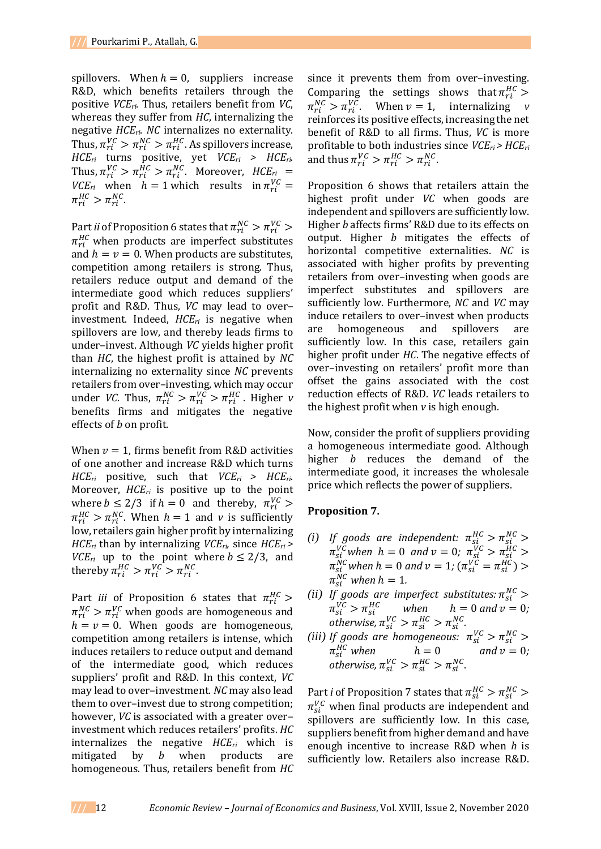spillovers. When  $h = 0$ , suppliers increase R&D, which benefits retailers through the positive *VCEri*. Thus, retailers benefit from *VC*, whereas they suffer from *HC*, internalizing the negative *HCEri*. *NC* internalizes no externality. Thus,  $\pi_{ri}^{VC} > \pi_{ri}^{NC} > \pi_{ri}^{HC}$ . As spillovers increase, *HCEri* turns positive, yet *VCEri > HCEri*. Thus,  $\pi_{ri}^{VC} > \pi_{ri}^{HC} > \pi_{ri}^{NC}$ . Moreover,  $HCE_{ri}$  = *VCE*<sub>*ri*</sub> when  $h = 1$  which results in  $\pi_{ri}^{VC} =$  $\pi_{ri}^{HC} > \pi_{ri}^{NC}.$ 

Part *ii* of Proposition 6 states that  $\pi_{ri}^{NC} > \pi_{ri}^{VC} > 1$  $\pi_{ri}^{HC}$  when products are imperfect substitutes and  $h = v = 0$ . When products are substitutes, competition among retailers is strong. Thus, retailers reduce output and demand of the intermediate good which reduces suppliers' profit and R&D. Thus, *VC* may lead to over– investment. Indeed, *HCEri* is negative when spillovers are low, and thereby leads firms to under–invest. Although *VC* yields higher profit than *HC*, the highest profit is attained by *NC* internalizing no externality since *NC* prevents retailers from over–investing, which may occur under *VC*. Thus,  $\pi_{ri}^{NC} > \pi_{ri}^{VC} > \pi_{ri}^{HC}$ . Higher *v* benefits firms and mitigates the negative effects of *b* on profit.

When  $v = 1$ , firms benefit from R&D activities of one another and increase R&D which turns *HCEri* positive, such that *VCEri > HCEri*. Moreover, *HCEri* is positive up to the point where  $b \leq 2/3$  if  $h = 0$  and thereby,  $\pi_{ri}^{VC} >$  $\pi_{ri}^{HC} > \pi_{ri}^{NC}$ . When  $h = 1$  and *v* is sufficiently low, retailers gain higher profit by internalizing *HCEri* than by internalizing *VCEri,* since *HCEri > VCE*<sup>*ri*</sup> up to the point where  $b \leq 2/3$ , and thereby  $\pi_{ri}^{HC} > \pi_{ri}^{VC} > \pi_{ri}^{NC}$ .

Part *iii* of Proposition 6 states that  $\pi_{ri}^{HC}$  >  $\pi_{ri}^{NC} > \pi_{ri}^{VC}$  when goods are homogeneous and  $h = v = 0$ . When goods are homogeneous, competition among retailers is intense, which induces retailers to reduce output and demand of the intermediate good, which reduces suppliers' profit and R&D. In this context, *VC* may lead to over–investment. *NC* may also lead them to over–invest due to strong competition; however, *VC* is associated with a greater over– investment which reduces retailers' profits. *HC* internalizes the negative *HCEri* which is mitigated by *b* when products are homogeneous. Thus, retailers benefit from *HC* since it prevents them from over–investing. Comparing the settings shows that  $\pi_{ri}^{HC}$  >  $\pi_{ri}^{NC} > \pi_{ri}^{VC}$ . When  $v = 1$ , internalizing *v* reinforces its positive effects, increasing the net benefit of R&D to all firms. Thus, *VC* is more profitable to both industries since *VCEri > HCEri* and thus  $\pi_{ri}^{VC} > \pi_{ri}^{HC} > \pi_{ri}^{NC}$ .

Proposition 6 shows that retailers attain the highest profit under *VC* when goods are independent and spillovers are sufficiently low. Higher *b* affects firms' R&D due to its effects on output. Higher *b* mitigates the effects of horizontal competitive externalities. *NC* is associated with higher profits by preventing retailers from over–investing when goods are imperfect substitutes and spillovers are sufficiently low. Furthermore, *NC* and *VC* may induce retailers to over–invest when products are homogeneous and spillovers are sufficiently low. In this case, retailers gain higher profit under *HC*. The negative effects of over–investing on retailers' profit more than offset the gains associated with the cost reduction effects of R&D. *VC* leads retailers to the highest profit when *v* is high enough.

Now, consider the profit of suppliers providing a homogeneous intermediate good. Although higher *b* reduces the demand of the intermediate good, it increases the wholesale price which reflects the power of suppliers.

### **Proposition 7.**

- *(i)* If goods are independent:  $\pi_{si}^{HC} > \pi_{si}^{NC} >$  $\pi_{si}^{VC}$  when  $h = 0$  and  $v = 0$ ;  $\pi_{si}^{VC} > \pi_{si}^{HC} >$  $\pi_{si}^{NC}$  when  $h = 0$  and  $v = 1$ ;  $(\pi_{si}^{VC} = \pi_{si}^{HC}) >$  $\pi_{si}^{NC}$  when  $h = 1$ .
- (*ii*) If goods are imperfect substitutes:  $\pi_{si}^{NC}$  >  $\pi_{si}^{VC} > \pi_{si}^{HC}$  when  $h = 0$  and  $v = 0$ ; *otherwise,*  $\pi_{si}^{VC} > \pi_{si}^{HC} > \pi_{si}^{NC}$ *.*
- (iii) If goods are homogeneous:  $\pi_{si}^{VC} > \pi_{si}^{NC} >$  $\pi_{si}^{HC}$  when  $h = 0$  and  $v = 0$ ; *otherwise,*  $\pi_{si}^{VC} > \pi_{si}^{HC} > \pi_{si}^{NC}$ .

Part *i* of Proposition 7 states that  $\pi_{si}^{HC} > \pi_{si}^{NC} >$  $\pi_{si}^{VC}$  when final products are independent and spillovers are sufficiently low. In this case, suppliers benefit from higher demand and have enough incentive to increase R&D when *h* is sufficiently low. Retailers also increase R&D.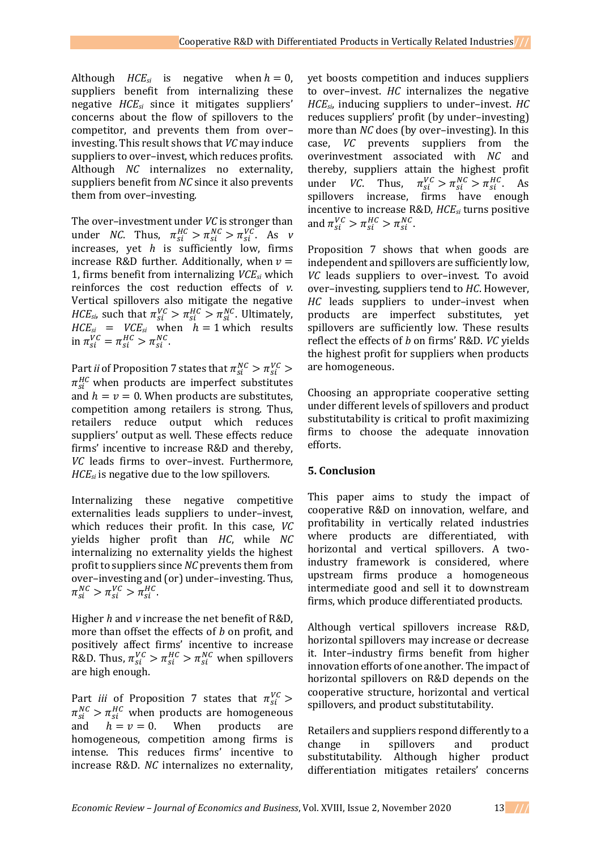Although  $HCE_{si}$  is negative when  $h = 0$ , suppliers benefit from internalizing these negative *HCEsi* since it mitigates suppliers' concerns about the flow of spillovers to the competitor, and prevents them from over– investing. This result shows that *VC* may induce suppliers to over–invest, which reduces profits. Although *NC* internalizes no externality, suppliers benefit from *NC* since it also prevents them from over–investing.

The over–investment under *VC* is stronger than under *NC*. Thus,  $\pi_{si}^{HC} > \pi_{si}^{NC} > \pi_{si}^{VC}$ . As *v* increases, yet *h* is sufficiently low, firms increase R&D further. Additionally, when  $v =$ 1, firms benefit from internalizing *VCEsi* which reinforces the cost reduction effects of *v*. Vertical spillovers also mitigate the negative *HCE*<sub>*si*</sub>, such that  $\pi_{si}^{VC} > \pi_{si}^{HC} > \pi_{si}^{NC}$ . Ultimately,  $HCE_{si}$  =  $VCE_{si}$  when  $h = 1$  which results in  $\pi_{si}^{VC} = \pi_{si}^{HC} > \pi_{si}^{NC}$ .

Part *ii* of Proposition 7 states that  $\pi_{si}^{NC} > \pi_{si}^{VC} > 1$  $\pi_{si}^{HC}$  when products are imperfect substitutes and  $h = v = 0$ . When products are substitutes, competition among retailers is strong. Thus, retailers reduce output which reduces suppliers' output as well. These effects reduce firms' incentive to increase R&D and thereby, *VC* leads firms to over–invest. Furthermore, *HCEsi* is negative due to the low spillovers.

Internalizing these negative competitive externalities leads suppliers to under–invest, which reduces their profit. In this case, *VC* yields higher profit than *HC*, while *NC* internalizing no externality yields the highest profit to suppliers since *NC* prevents them from over–investing and (or) under–investing. Thus,  $\pi_{si}^{NC} > \pi_{si}^{VC} > \pi_{si}^{HC}.$ 

Higher *h* and *v* increase the net benefit of R&D, more than offset the effects of *b* on profit, and positively affect firms' incentive to increase R&D. Thus,  $\pi_{si}^{VC} > \pi_{si}^{HC} > \pi_{si}^{NC}$  when spillovers are high enough.

Part *iii* of Proposition 7 states that  $\pi_{si}^{VC}$  >  $\pi_{si}^{NC} > \pi_{si}^{HC}$  when products are homogeneous and  $h = v = 0$ . When products are homogeneous, competition among firms is intense. This reduces firms' incentive to increase R&D. *NC* internalizes no externality,

yet boosts competition and induces suppliers to over–invest. *HC* internalizes the negative *HCEsi*, inducing suppliers to under–invest. *HC* reduces suppliers' profit (by under–investing) more than *NC* does (by over–investing). In this case, *VC* prevents suppliers from the overinvestment associated with *NC* and thereby, suppliers attain the highest profit under *VC*. Thus,  $\pi_{si}^{VC} > \pi_{si}^{NC} > \pi_{si}^{HC}$ . As spillovers increase, firms have enough incentive to increase R&D, *HCEsi* turns positive and  $\pi_{si}^{VC} > \pi_{si}^{HC} > \pi_{si}^{NC}$ .

Proposition 7 shows that when goods are independent and spillovers are sufficiently low, *VC* leads suppliers to over–invest. To avoid over–investing, suppliers tend to *HC*. However, *HC* leads suppliers to under–invest when products are imperfect substitutes, yet spillovers are sufficiently low. These results reflect the effects of *b* on firms' R&D. *VC* yields the highest profit for suppliers when products are homogeneous.

Choosing an appropriate cooperative setting under different levels of spillovers and product substitutability is critical to profit maximizing firms to choose the adequate innovation efforts.

## **5. Conclusion**

This paper aims to study the impact of cooperative R&D on innovation, welfare, and profitability in vertically related industries where products are differentiated, with horizontal and vertical spillovers. A twoindustry framework is considered, where upstream firms produce a homogeneous intermediate good and sell it to downstream firms, which produce differentiated products.

Although vertical spillovers increase R&D, horizontal spillovers may increase or decrease it. Inter–industry firms benefit from higher innovation efforts of one another. The impact of horizontal spillovers on R&D depends on the cooperative structure, horizontal and vertical spillovers, and product substitutability.

Retailers and suppliers respond differently to a change in spillovers and product substitutability. Although higher product differentiation mitigates retailers' concerns

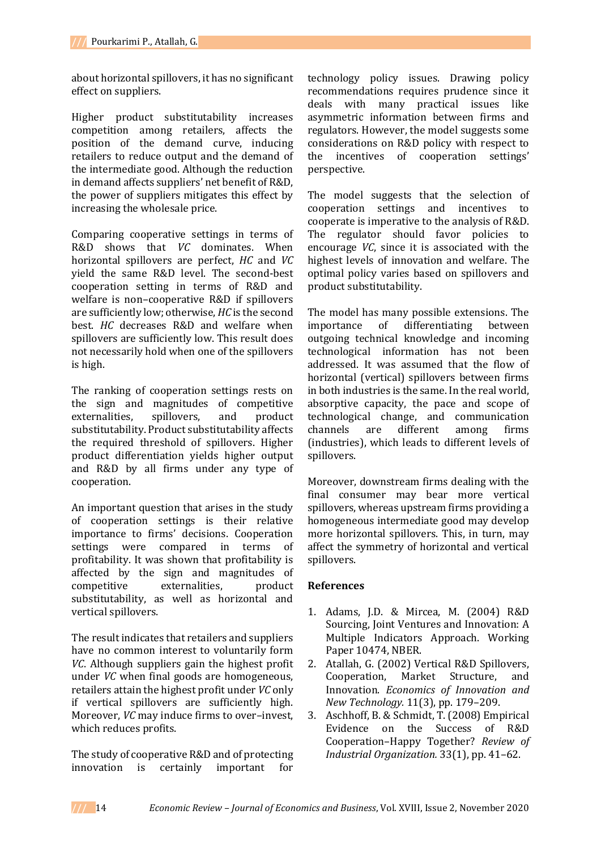about horizontal spillovers, it has no significant effect on suppliers.

Higher product substitutability increases competition among retailers, affects the position of the demand curve, inducing retailers to reduce output and the demand of the intermediate good. Although the reduction in demand affects suppliers' net benefit of R&D, the power of suppliers mitigates this effect by increasing the wholesale price.

Comparing cooperative settings in terms of R&D shows that *VC* dominates. When horizontal spillovers are perfect, *HC* and *VC* yield the same R&D level. The second-best cooperation setting in terms of R&D and welfare is non–cooperative R&D if spillovers are sufficiently low; otherwise, *HC* is the second best. *HC* decreases R&D and welfare when spillovers are sufficiently low. This result does not necessarily hold when one of the spillovers is high.

The ranking of cooperation settings rests on the sign and magnitudes of competitive externalities, spillovers, and product substitutability. Product substitutability affects the required threshold of spillovers. Higher product differentiation yields higher output and R&D by all firms under any type of cooperation.

An important question that arises in the study of cooperation settings is their relative importance to firms' decisions. Cooperation settings were compared in terms of profitability. It was shown that profitability is affected by the sign and magnitudes of competitive externalities, product substitutability, as well as horizontal and vertical spillovers.

The result indicates that retailers and suppliers have no common interest to voluntarily form *VC*. Although suppliers gain the highest profit under *VC* when final goods are homogeneous, retailers attain the highest profit under *VC* only if vertical spillovers are sufficiently high. Moreover, *VC* may induce firms to over–invest, which reduces profits.

The study of cooperative R&D and of protecting innovation is certainly important for

technology policy issues. Drawing policy recommendations requires prudence since it deals with many practical issues like asymmetric information between firms and regulators. However, the model suggests some considerations on R&D policy with respect to the incentives of cooperation settings' perspective.

The model suggests that the selection of cooperation settings and incentives to cooperate is imperative to the analysis of R&D. The regulator should favor policies to encourage *VC*, since it is associated with the highest levels of innovation and welfare. The optimal policy varies based on spillovers and product substitutability.

The model has many possible extensions. The importance of differentiating between outgoing technical knowledge and incoming technological information has not been addressed. It was assumed that the flow of horizontal (vertical) spillovers between firms in both industries is the same. In the real world, absorptive capacity, the pace and scope of technological change, and communication channels are different among firms (industries), which leads to different levels of spillovers.

Moreover, downstream firms dealing with the final consumer may bear more vertical spillovers, whereas upstream firms providing a homogeneous intermediate good may develop more horizontal spillovers. This, in turn, may affect the symmetry of horizontal and vertical spillovers.

### **References**

- 1. Adams, J.D. & Mircea, M. (2004) R&D Sourcing, Joint Ventures and Innovation: A Multiple Indicators Approach. Working Paper 10474, NBER.
- 2. Atallah, G. (2002) Vertical R&D Spillovers, Cooperation, Market Structure, and Innovation. *Economics of Innovation and New Technology.* 11(3), pp. 179–209.
- 3. Aschhoff, B. & Schmidt, T. (2008) Empirical Evidence on the Success of R&D Cooperation–Happy Together? *Review of Industrial Organization.* 33(1), pp. 41–62.

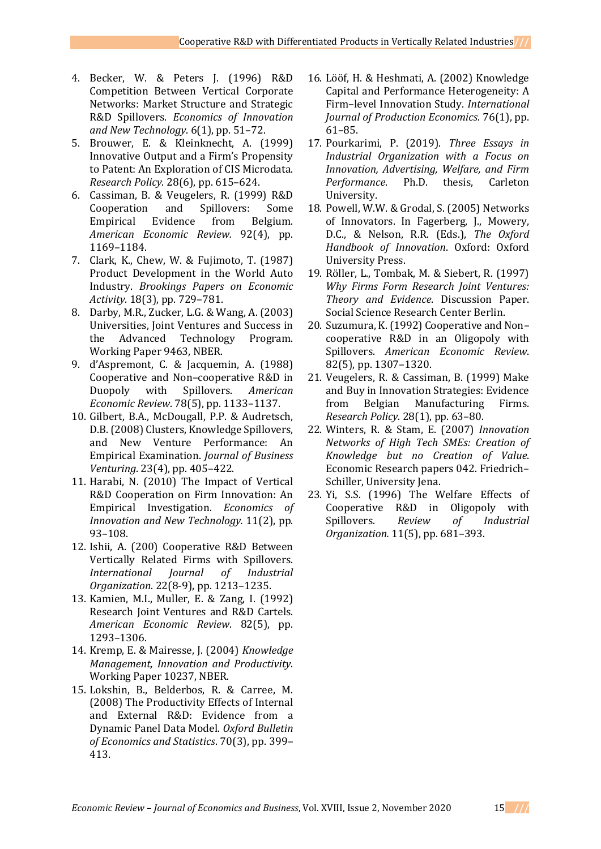- 4. Becker, W. & Peters J. (1996) R&D Competition Between Vertical Corporate Networks: Market Structure and Strategic R&D Spillovers. *Economics of Innovation and New Technology*. 6(1), pp. 51–72.
- 5. Brouwer, E. & Kleinknecht, A. (1999) Innovative Output and a Firm's Propensity to Patent: An Exploration of CIS Microdata. *Research Policy*. 28(6), pp. 615–624.
- 6. Cassiman, B. & Veugelers, R. (1999) R&D Cooperation and Spillovers: Some Empirical Evidence from Belgium. *American Economic Review.* 92(4), pp. 1169–1184.
- 7. Clark, K., Chew, W. & Fujimoto, T. (1987) Product Development in the World Auto Industry. *Brookings Papers on Economic Activity*. 18(3), pp. 729–781.
- 8. Darby, M.R., Zucker, L.G. & Wang, A. (2003) Universities, Joint Ventures and Success in the Advanced Technology Program. Working Paper 9463, NBER.
- 9. d'Aspremont, C. & Jacquemin, A. (1988) Cooperative and Non–cooperative R&D in Duopoly with Spillovers. *American Economic Review*. 78(5), pp. 1133–1137.
- 10. Gilbert, B.A., McDougall, P.P. & Audretsch, D.B. (2008) Clusters, Knowledge Spillovers, and New Venture Performance: An Empirical Examination. *Journal of Business Venturing*. 23(4), pp. 405–422.
- 11. Harabi, N. (2010) The Impact of Vertical R&D Cooperation on Firm Innovation: An Empirical Investigation. *Economics of Innovation and New Technology.* 11(2), pp. 93–108.
- 12. Ishii, A. (200) Cooperative R&D Between Vertically Related Firms with Spillovers. *International Journal of Industrial Organization*. 22(8-9), pp. 1213–1235.
- 13. Kamien, M.I., Muller, E. & Zang, I. (1992) Research Joint Ventures and R&D Cartels. *American Economic Review*. 82(5), pp. 1293–1306.
- 14. Kremp, E. & Mairesse, J. (2004) *Knowledge Management, Innovation and Productivity*. Working Paper 10237, NBER.
- 15. Lokshin, B., Belderbos, R. & Carree, M. (2008) The Productivity Effects of Internal and External R&D: Evidence from a Dynamic Panel Data Model. *Oxford Bulletin of Economics and Statistics*. 70(3), pp. 399– 413.
- 16. Lööf, H. & Heshmati, A. (2002) Knowledge Capital and Performance Heterogeneity: A Firm–level Innovation Study. *International Journal of Production Economics*. 76(1), pp. 61–85.
- 17. Pourkarimi, P. (2019). *Three Essays in Industrial Organization with a Focus on Innovation, Advertising, Welfare, and Firm Performance*. Ph.D. thesis, Carleton University.
- 18. Powell, W.W. & Grodal, S. (2005) Networks of Innovators. In Fagerberg, J., Mowery, D.C., & Nelson, R.R. (Eds.), *The Oxford Handbook of Innovation*. Oxford: Oxford University Press.
- 19. Röller, L., Tombak, M. & Siebert, R. (1997) *Why Firms Form Research Joint Ventures: Theory and Evidence*. Discussion Paper. Social Science Research Center Berlin.
- 20. Suzumura, K. (1992) Cooperative and Non– cooperative R&D in an Oligopoly with Spillovers. *American Economic Review*. 82(5), pp. 1307–1320.
- 21. Veugelers, R. & Cassiman, B. (1999) Make and Buy in Innovation Strategies: Evidence from Belgian Manufacturing Firms. *Research Policy*. 28(1), pp. 63–80.
- 22. Winters, R. & Stam, E. (2007) *Innovation Networks of High Tech SMEs: Creation of Knowledge but no Creation of Value*. Economic Research papers 042. Friedrich– Schiller, University Jena.
- 23. Yi, S.S. (1996) The Welfare Effects of Cooperative R&D in Oligopoly with Spillovers. *Review of Industrial Organization.* 11(5), pp. 681–393.